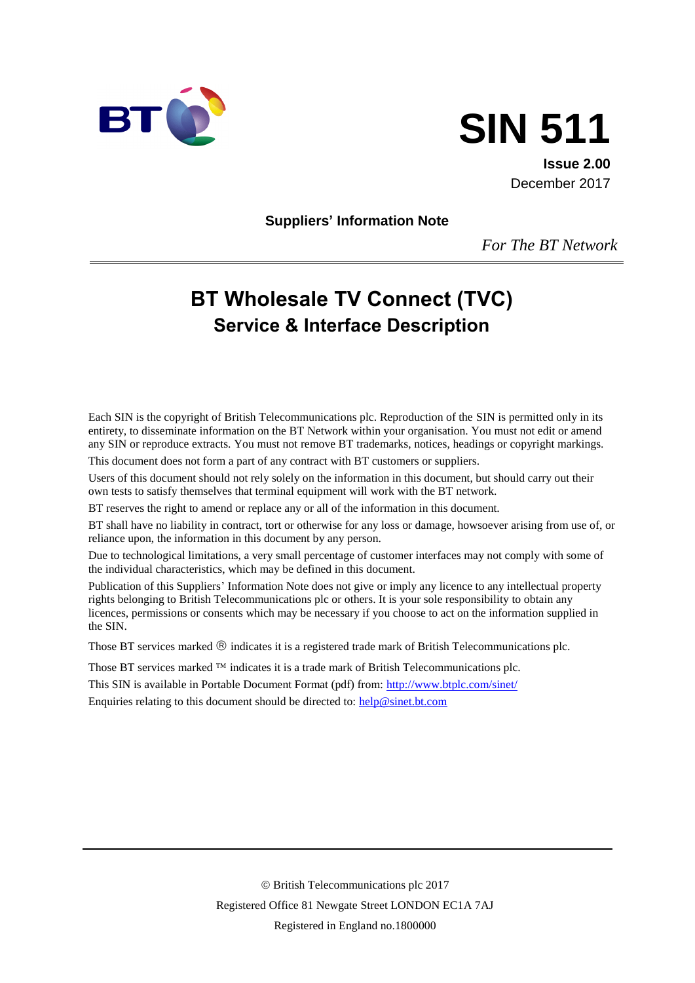



**Issue 2.00** December 2017

**Suppliers' Information Note**

*For The BT Network*

# **BT Wholesale TV Connect (TVC) Service & Interface Description**

Each SIN is the copyright of British Telecommunications plc. Reproduction of the SIN is permitted only in its entirety, to disseminate information on the BT Network within your organisation. You must not edit or amend any SIN or reproduce extracts. You must not remove BT trademarks, notices, headings or copyright markings.

This document does not form a part of any contract with BT customers or suppliers.

Users of this document should not rely solely on the information in this document, but should carry out their own tests to satisfy themselves that terminal equipment will work with the BT network.

BT reserves the right to amend or replace any or all of the information in this document.

BT shall have no liability in contract, tort or otherwise for any loss or damage, howsoever arising from use of, or reliance upon, the information in this document by any person.

Due to technological limitations, a very small percentage of customer interfaces may not comply with some of the individual characteristics, which may be defined in this document.

Publication of this Suppliers' Information Note does not give or imply any licence to any intellectual property rights belonging to British Telecommunications plc or others. It is your sole responsibility to obtain any licences, permissions or consents which may be necessary if you choose to act on the information supplied in the SIN.

Those BT services marked  $\circledR$  indicates it is a registered trade mark of British Telecommunications plc.

Those BT services marked  $TM$  indicates it is a trade mark of British Telecommunications plc.

This SIN is available in Portable Document Format (pdf) from: http://www.btplc.com/sinet/

Enquiries relating to this document should be directed to:  $\frac{help@sinet.bt.com}{$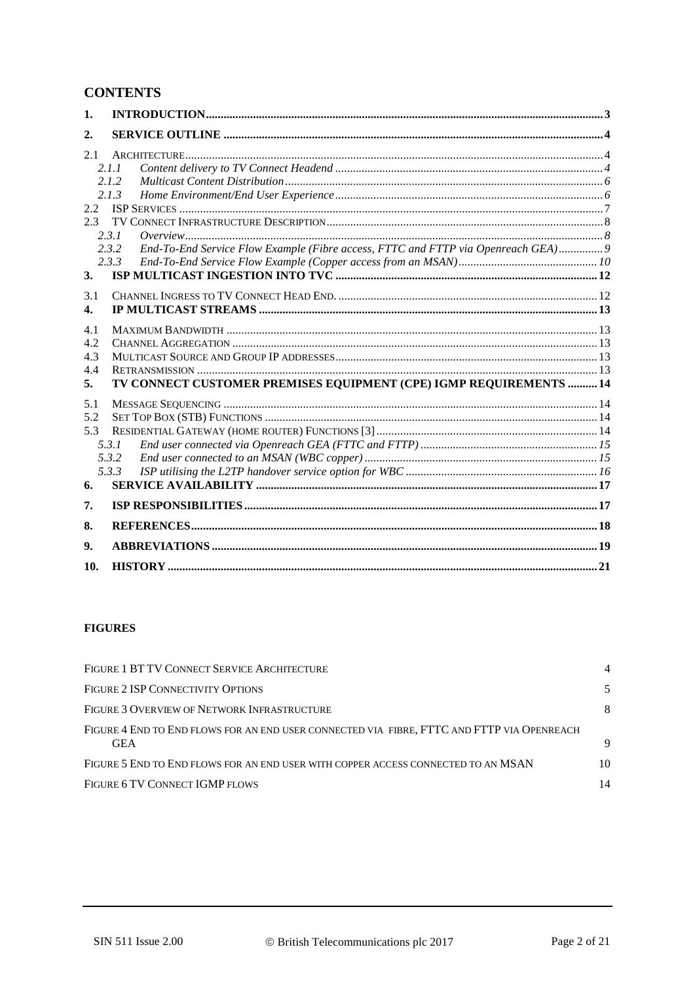# **CONTENTS**

| 1.            |                                                                                            |  |
|---------------|--------------------------------------------------------------------------------------------|--|
| 2.            |                                                                                            |  |
| 2.1           |                                                                                            |  |
|               | 2.1.1<br>2.1.2                                                                             |  |
|               | 2.1.3                                                                                      |  |
| $2.2^{\circ}$ |                                                                                            |  |
| 2.3           |                                                                                            |  |
|               | 2.3.1                                                                                      |  |
|               | End-To-End Service Flow Example (Fibre access, FTTC and FTTP via Openreach GEA) 9<br>2.3.2 |  |
|               | 2.3.3                                                                                      |  |
| 3.            |                                                                                            |  |
| 3.1           |                                                                                            |  |
| 4.            |                                                                                            |  |
| 4.1           |                                                                                            |  |
| 4.2           |                                                                                            |  |
| 4.3           |                                                                                            |  |
| 4.4           |                                                                                            |  |
| 5.            | TV CONNECT CUSTOMER PREMISES EQUIPMENT (CPE) IGMP REQUIREMENTS  14                         |  |
| 5.1           |                                                                                            |  |
| 5.2           |                                                                                            |  |
| 5.3           |                                                                                            |  |
|               | 5.3.1                                                                                      |  |
|               | 5.3.2                                                                                      |  |
|               | 5.3.3                                                                                      |  |
| 6.            |                                                                                            |  |
| 7.            |                                                                                            |  |
| 8.            |                                                                                            |  |
| 9.            |                                                                                            |  |
| 10.           |                                                                                            |  |

#### **FIGURES**

| FIGURE 1 BT TV CONNECT SERVICE ARCHITECTURE                                                              |    |
|----------------------------------------------------------------------------------------------------------|----|
| FIGURE 2 ISP CONNECTIVITY OPTIONS                                                                        | 5  |
| FIGURE 3 OVERVIEW OF NETWORK INFRASTRUCTURE                                                              | 8  |
| FIGURE 4 END TO END FLOWS FOR AN END USER CONNECTED VIA FIBRE, FTTC AND FTTP VIA OPENREACH<br><b>GEA</b> | 9  |
| FIGURE 5 END TO END FLOWS FOR AN END USER WITH COPPER ACCESS CONNECTED TO AN MSAN                        | 10 |
| FIGURE 6 TV CONNECT IGMP FLOWS                                                                           | 14 |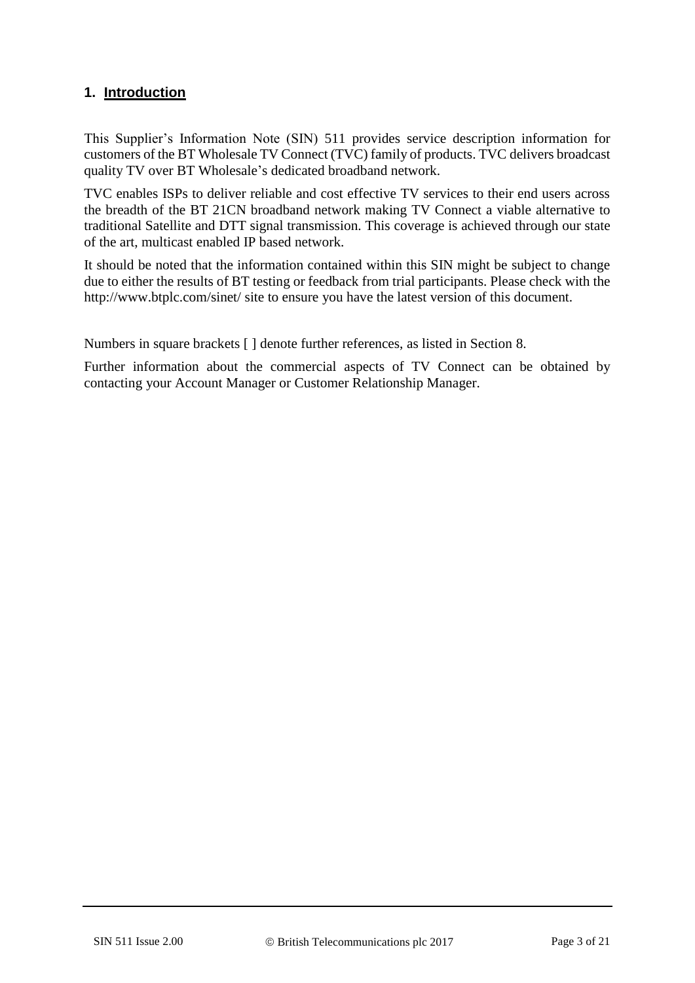## **1. Introduction**

This Supplier's Information Note (SIN) 511 provides service description information for customers of the BT Wholesale TV Connect (TVC) family of products. TVC delivers broadcast quality TV over BT Wholesale's dedicated broadband network.

TVC enables ISPs to deliver reliable and cost effective TV services to their end users across the breadth of the BT 21CN broadband network making TV Connect a viable alternative to traditional Satellite and DTT signal transmission. This coverage is achieved through our state of the art, multicast enabled IP based network.

It should be noted that the information contained within this SIN might be subject to change due to either the results of BT testing or feedback from trial participants. Please check with the http://www.btplc.com/sinet/ site to ensure you have the latest version of this document.

Numbers in square brackets [ ] denote further references, as listed in Section [8.](#page-17-0)

Further information about the commercial aspects of TV Connect can be obtained by contacting your Account Manager or Customer Relationship Manager.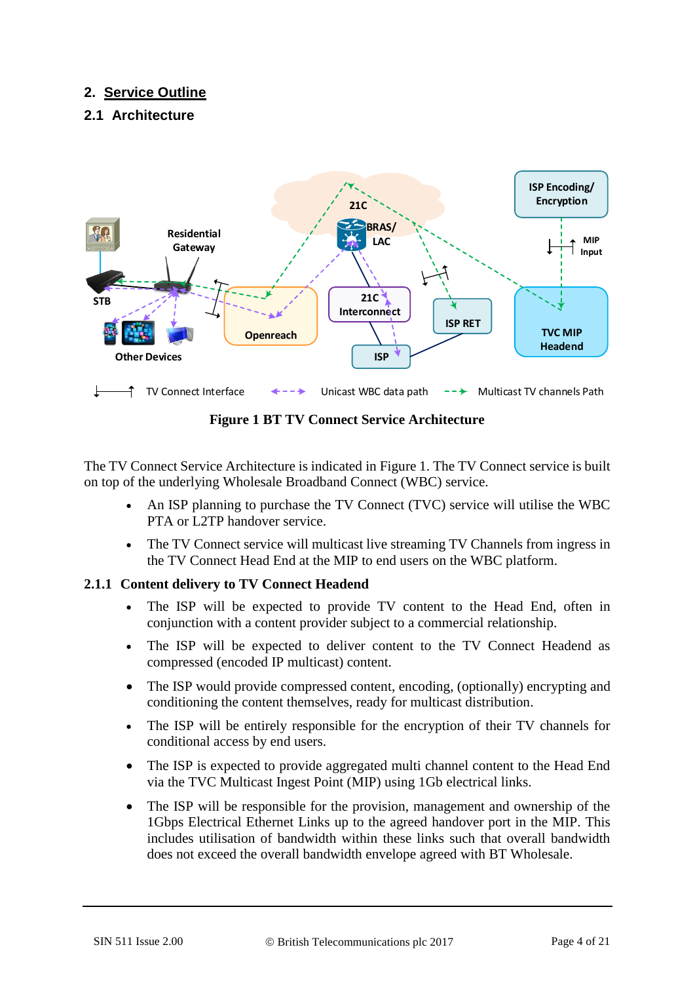# **2. Service Outline**

### **2.1 Architecture**



**Figure 1 BT TV Connect Service Architecture**

<span id="page-3-0"></span>The TV Connect Service Architecture is indicated in [Figure 1.](#page-3-0) The TV Connect service is built on top of the underlying Wholesale Broadband Connect (WBC) service.

- An ISP planning to purchase the TV Connect (TVC) service will utilise the WBC PTA or L2TP handover service.
- The TV Connect service will multicast live streaming TV Channels from ingress in the TV Connect Head End at the MIP to end users on the WBC platform.

### <span id="page-3-1"></span>**2.1.1 Content delivery to TV Connect Headend**

- The ISP will be expected to provide TV content to the Head End, often in conjunction with a content provider subject to a commercial relationship.
- The ISP will be expected to deliver content to the TV Connect Headend as compressed (encoded IP multicast) content.
- The ISP would provide compressed content, encoding, (optionally) encrypting and conditioning the content themselves, ready for multicast distribution.
- The ISP will be entirely responsible for the encryption of their TV channels for conditional access by end users.
- The ISP is expected to provide aggregated multi channel content to the Head End via the TVC Multicast Ingest Point (MIP) using 1Gb electrical links.
- The ISP will be responsible for the provision, management and ownership of the 1Gbps Electrical Ethernet Links up to the agreed handover port in the MIP. This includes utilisation of bandwidth within these links such that overall bandwidth does not exceed the overall bandwidth envelope agreed with BT Wholesale.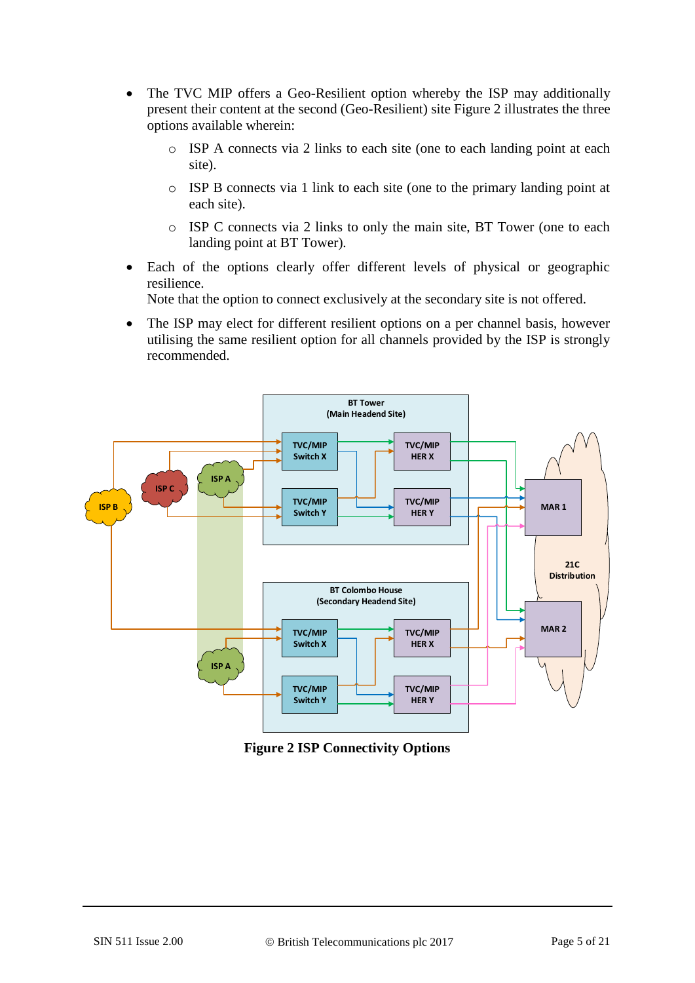- The TVC MIP offers a Geo-Resilient option whereby the ISP may additionally present their content at the second (Geo-Resilient) site [Figure 2](#page-4-0) illustrates the three options available wherein:
	- o ISP A connects via 2 links to each site (one to each landing point at each site).
	- o ISP B connects via 1 link to each site (one to the primary landing point at each site).
	- o ISP C connects via 2 links to only the main site, BT Tower (one to each landing point at BT Tower).
- Each of the options clearly offer different levels of physical or geographic resilience.

Note that the option to connect exclusively at the secondary site is not offered.

• The ISP may elect for different resilient options on a per channel basis, however utilising the same resilient option for all channels provided by the ISP is strongly recommended.



<span id="page-4-0"></span>**Figure 2 ISP Connectivity Options**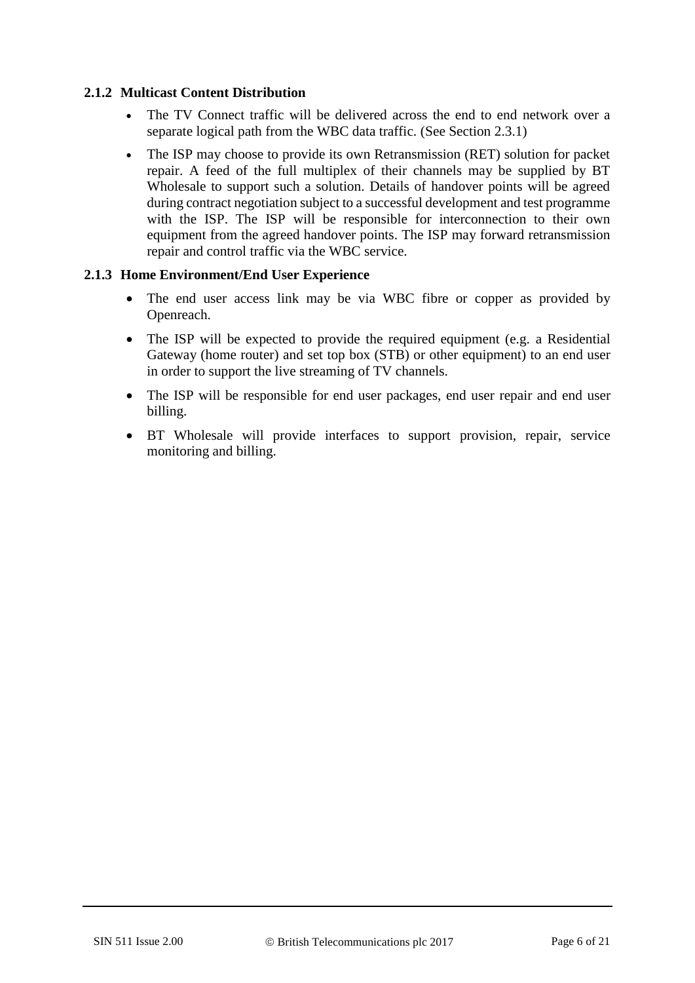#### **2.1.2 Multicast Content Distribution**

- The TV Connect traffic will be delivered across the end to end network over a separate logical path from the WBC data traffic. (See Section [2.3.1\)](#page-7-1)
- The ISP may choose to provide its own Retransmission (RET) solution for packet repair. A feed of the full multiplex of their channels may be supplied by BT Wholesale to support such a solution. Details of handover points will be agreed during contract negotiation subject to a successful development and test programme with the ISP. The ISP will be responsible for interconnection to their own equipment from the agreed handover points. The ISP may forward retransmission repair and control traffic via the WBC service.

#### **2.1.3 Home Environment/End User Experience**

- The end user access link may be via WBC fibre or copper as provided by Openreach.
- The ISP will be expected to provide the required equipment (e.g. a Residential Gateway (home router) and set top box (STB) or other equipment) to an end user in order to support the live streaming of TV channels.
- The ISP will be responsible for end user packages, end user repair and end user billing.
- BT Wholesale will provide interfaces to support provision, repair, service monitoring and billing.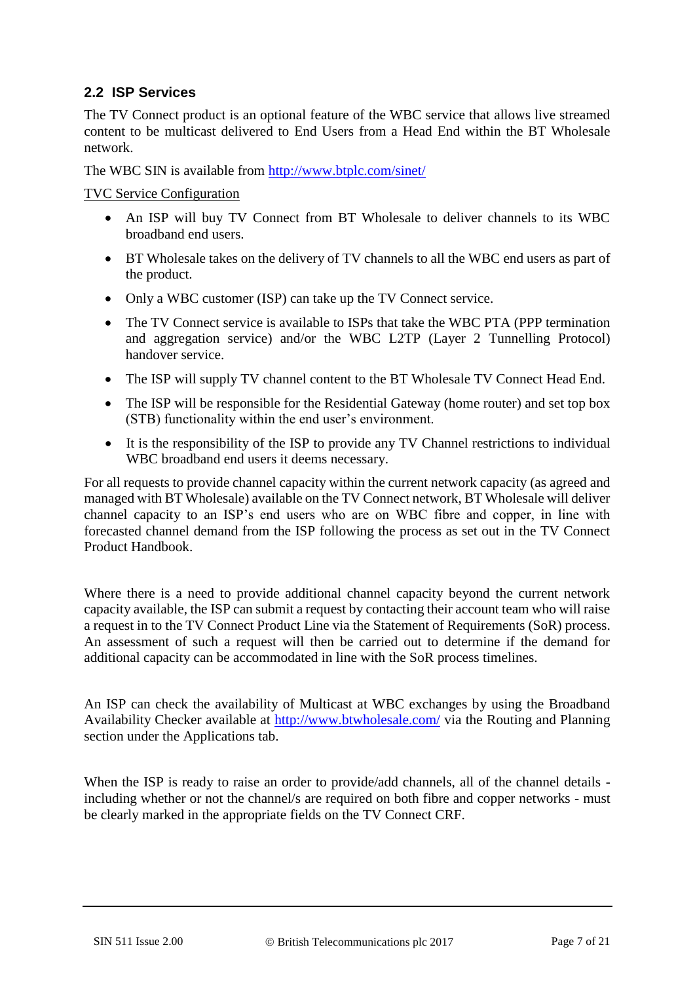#### **2.2 ISP Services**

The TV Connect product is an optional feature of the WBC service that allows live streamed content to be multicast delivered to End Users from a Head End within the BT Wholesale network.

The WBC SIN is available from<http://www.btplc.com/sinet/>

TVC Service Configuration

- An ISP will buy TV Connect from BT Wholesale to deliver channels to its WBC broadband end users.
- BT Wholesale takes on the delivery of TV channels to all the WBC end users as part of the product.
- Only a WBC customer (ISP) can take up the TV Connect service.
- The TV Connect service is available to ISPs that take the WBC PTA (PPP termination and aggregation service) and/or the WBC L2TP (Layer 2 Tunnelling Protocol) handover service.
- The ISP will supply TV channel content to the BT Wholesale TV Connect Head End.
- The ISP will be responsible for the Residential Gateway (home router) and set top box (STB) functionality within the end user's environment.
- It is the responsibility of the ISP to provide any TV Channel restrictions to individual WBC broadband end users it deems necessary.

For all requests to provide channel capacity within the current network capacity (as agreed and managed with BT Wholesale) available on the TV Connect network, BT Wholesale will deliver channel capacity to an ISP's end users who are on WBC fibre and copper, in line with forecasted channel demand from the ISP following the process as set out in the TV Connect Product Handbook.

Where there is a need to provide additional channel capacity beyond the current network capacity available, the ISP can submit a request by contacting their account team who will raise a request in to the TV Connect Product Line via the Statement of Requirements (SoR) process. An assessment of such a request will then be carried out to determine if the demand for additional capacity can be accommodated in line with the SoR process timelines.

An ISP can check the availability of Multicast at WBC exchanges by using the Broadband Availability Checker available at http://www.btwholesale.com/ via the Routing and Planning section under the Applications tab.

When the ISP is ready to raise an order to provide/add channels, all of the channel details including whether or not the channel/s are required on both fibre and copper networks - must be clearly marked in the appropriate fields on the TV Connect CRF.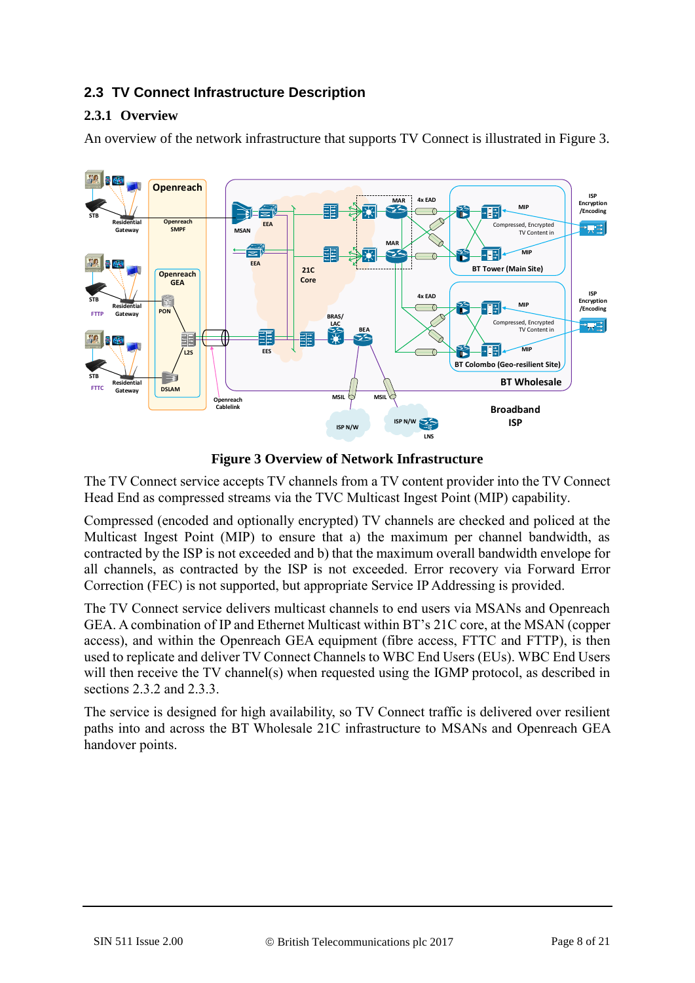# **2.3 TV Connect Infrastructure Description**

## <span id="page-7-1"></span>**2.3.1 Overview**

An overview of the network infrastructure that supports TV Connect is illustrated in [Figure 3.](#page-7-0)



**Figure 3 Overview of Network Infrastructure**

<span id="page-7-0"></span>The TV Connect service accepts TV channels from a TV content provider into the TV Connect Head End as compressed streams via the TVC Multicast Ingest Point (MIP) capability.

Compressed (encoded and optionally encrypted) TV channels are checked and policed at the Multicast Ingest Point (MIP) to ensure that a) the maximum per channel bandwidth, as contracted by the ISP is not exceeded and b) that the maximum overall bandwidth envelope for all channels, as contracted by the ISP is not exceeded. Error recovery via Forward Error Correction (FEC) is not supported, but appropriate Service IP Addressing is provided.

The TV Connect service delivers multicast channels to end users via MSANs and Openreach GEA. A combination of IP and Ethernet Multicast within BT's 21C core, at the MSAN (copper access), and within the Openreach GEA equipment (fibre access, FTTC and FTTP), is then used to replicate and deliver TV Connect Channels to WBC End Users (EUs). WBC End Users will then receive the TV channel(s) when requested using the IGMP protocol, as described in sections [2.3.2](#page-8-1) and [2.3.3.](#page-9-1)

The service is designed for high availability, so TV Connect traffic is delivered over resilient paths into and across the BT Wholesale 21C infrastructure to MSANs and Openreach GEA handover points.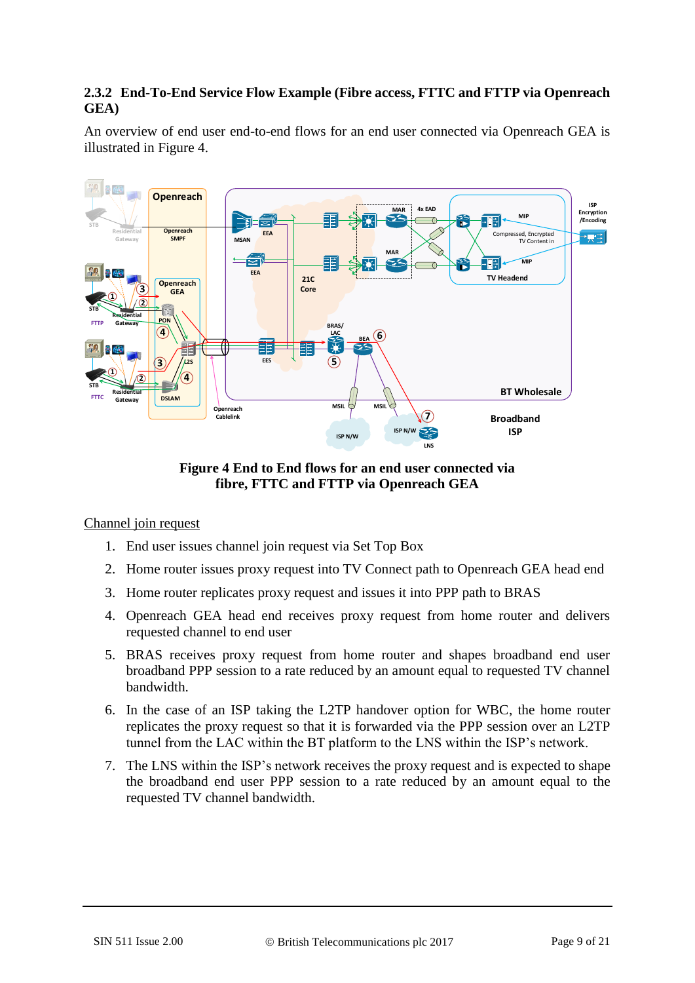#### <span id="page-8-1"></span>**2.3.2 End-To-End Service Flow Example (Fibre access, FTTC and FTTP via Openreach GEA)**

An overview of end user end-to-end flows for an end user connected via Openreach GEA is illustrated in [Figure 4.](#page-8-0)



**Figure 4 End to End flows for an end user connected via fibre, FTTC and FTTP via Openreach GEA**

#### <span id="page-8-0"></span>Channel join request

- 1. End user issues channel join request via Set Top Box
- 2. Home router issues proxy request into TV Connect path to Openreach GEA head end
- 3. Home router replicates proxy request and issues it into PPP path to BRAS
- 4. Openreach GEA head end receives proxy request from home router and delivers requested channel to end user
- 5. BRAS receives proxy request from home router and shapes broadband end user broadband PPP session to a rate reduced by an amount equal to requested TV channel bandwidth.
- 6. In the case of an ISP taking the L2TP handover option for WBC, the home router replicates the proxy request so that it is forwarded via the PPP session over an L2TP tunnel from the LAC within the BT platform to the LNS within the ISP's network.
- 7. The LNS within the ISP's network receives the proxy request and is expected to shape the broadband end user PPP session to a rate reduced by an amount equal to the requested TV channel bandwidth.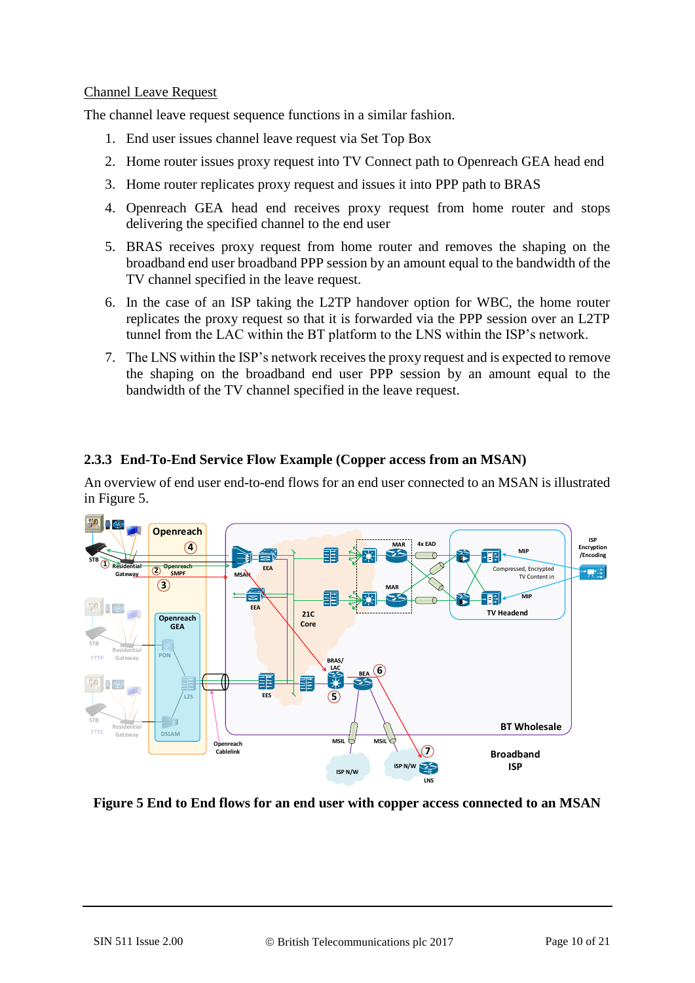#### Channel Leave Request

The channel leave request sequence functions in a similar fashion.

- 1. End user issues channel leave request via Set Top Box
- 2. Home router issues proxy request into TV Connect path to Openreach GEA head end
- 3. Home router replicates proxy request and issues it into PPP path to BRAS
- 4. Openreach GEA head end receives proxy request from home router and stops delivering the specified channel to the end user
- 5. BRAS receives proxy request from home router and removes the shaping on the broadband end user broadband PPP session by an amount equal to the bandwidth of the TV channel specified in the leave request.
- 6. In the case of an ISP taking the L2TP handover option for WBC, the home router replicates the proxy request so that it is forwarded via the PPP session over an L2TP tunnel from the LAC within the BT platform to the LNS within the ISP's network.
- 7. The LNS within the ISP's network receives the proxy request and is expected to remove the shaping on the broadband end user PPP session by an amount equal to the bandwidth of the TV channel specified in the leave request.

### <span id="page-9-1"></span>**2.3.3 End-To-End Service Flow Example (Copper access from an MSAN)**

An overview of end user end-to-end flows for an end user connected to an MSAN is illustrated in [Figure 5.](#page-9-0)



#### <span id="page-9-0"></span>**Figure 5 End to End flows for an end user with copper access connected to an MSAN**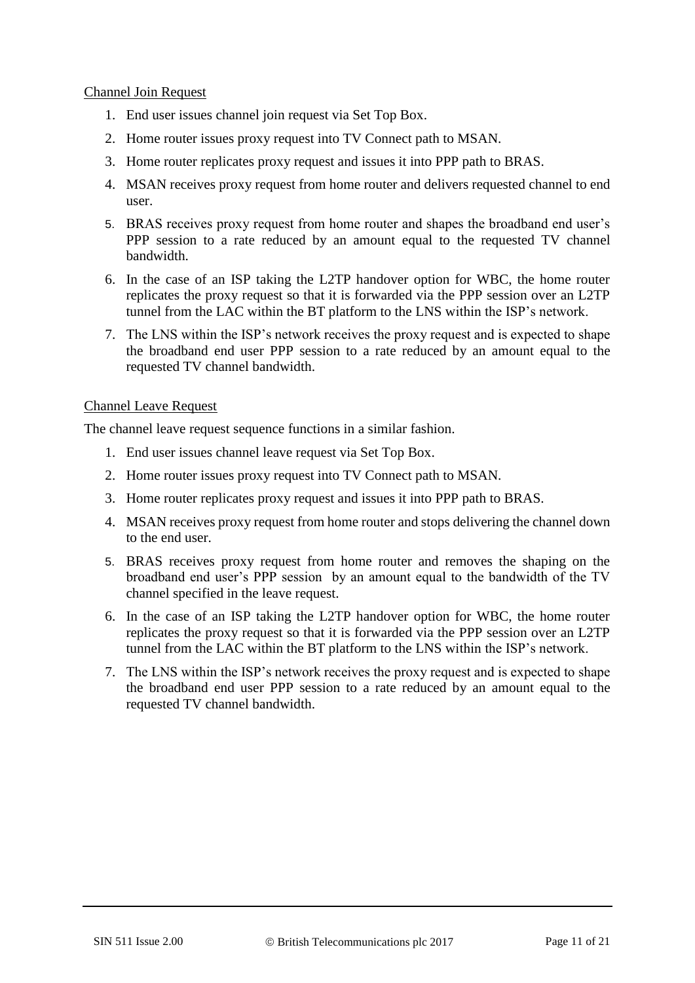#### Channel Join Request

- 1. End user issues channel join request via Set Top Box.
- 2. Home router issues proxy request into TV Connect path to MSAN.
- 3. Home router replicates proxy request and issues it into PPP path to BRAS.
- 4. MSAN receives proxy request from home router and delivers requested channel to end user.
- 5. BRAS receives proxy request from home router and shapes the broadband end user's PPP session to a rate reduced by an amount equal to the requested TV channel bandwidth.
- 6. In the case of an ISP taking the L2TP handover option for WBC, the home router replicates the proxy request so that it is forwarded via the PPP session over an L2TP tunnel from the LAC within the BT platform to the LNS within the ISP's network.
- 7. The LNS within the ISP's network receives the proxy request and is expected to shape the broadband end user PPP session to a rate reduced by an amount equal to the requested TV channel bandwidth.

#### Channel Leave Request

The channel leave request sequence functions in a similar fashion.

- 1. End user issues channel leave request via Set Top Box.
- 2. Home router issues proxy request into TV Connect path to MSAN.
- 3. Home router replicates proxy request and issues it into PPP path to BRAS.
- 4. MSAN receives proxy request from home router and stops delivering the channel down to the end user.
- 5. BRAS receives proxy request from home router and removes the shaping on the broadband end user's PPP session by an amount equal to the bandwidth of the TV channel specified in the leave request.
- 6. In the case of an ISP taking the L2TP handover option for WBC, the home router replicates the proxy request so that it is forwarded via the PPP session over an L2TP tunnel from the LAC within the BT platform to the LNS within the ISP's network.
- 7. The LNS within the ISP's network receives the proxy request and is expected to shape the broadband end user PPP session to a rate reduced by an amount equal to the requested TV channel bandwidth.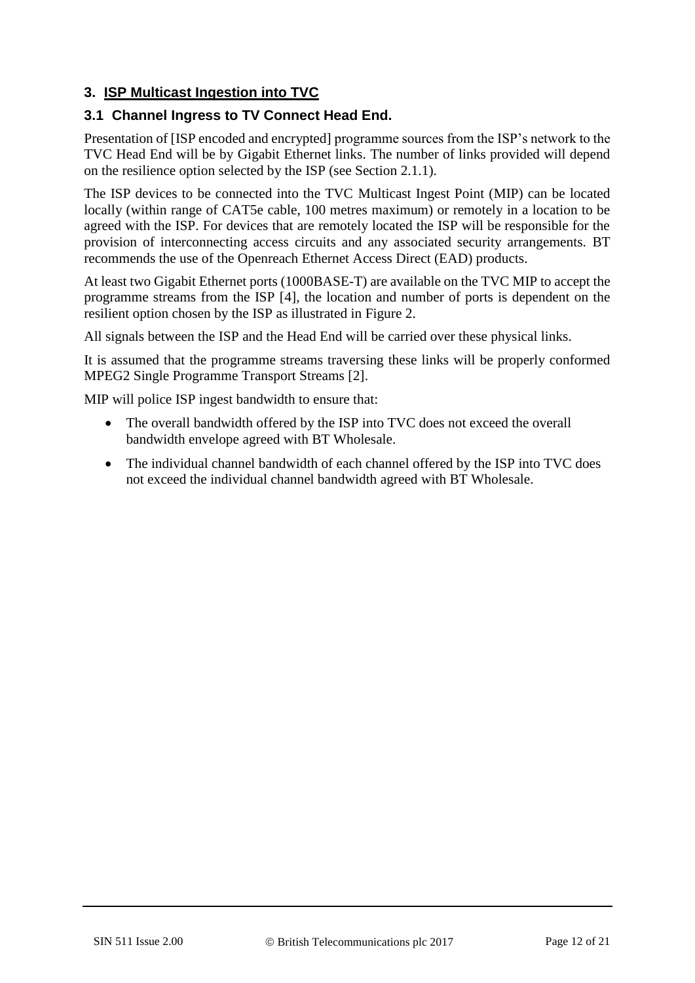## **3. ISP Multicast Ingestion into TVC**

### **3.1 Channel Ingress to TV Connect Head End.**

Presentation of [ISP encoded and encrypted] programme sources from the ISP's network to the TVC Head End will be by Gigabit Ethernet links. The number of links provided will depend on the resilience option selected by the ISP (see Section [2.1.1\)](#page-3-1).

The ISP devices to be connected into the TVC Multicast Ingest Point (MIP) can be located locally (within range of CAT5e cable, 100 metres maximum) or remotely in a location to be agreed with the ISP. For devices that are remotely located the ISP will be responsible for the provision of interconnecting access circuits and any associated security arrangements. BT recommends the use of the Openreach Ethernet Access Direct (EAD) products.

At least two Gigabit Ethernet ports (1000BASE-T) are available on the TVC MIP to accept the programme streams from the ISP [4], the location and number of ports is dependent on the resilient option chosen by the ISP as illustrated in [Figure 2.](#page-4-0)

All signals between the ISP and the Head End will be carried over these physical links.

It is assumed that the programme streams traversing these links will be properly conformed MPEG2 Single Programme Transport Streams [2].

MIP will police ISP ingest bandwidth to ensure that:

- The overall bandwidth offered by the ISP into TVC does not exceed the overall bandwidth envelope agreed with BT Wholesale.
- The individual channel bandwidth of each channel offered by the ISP into TVC does not exceed the individual channel bandwidth agreed with BT Wholesale.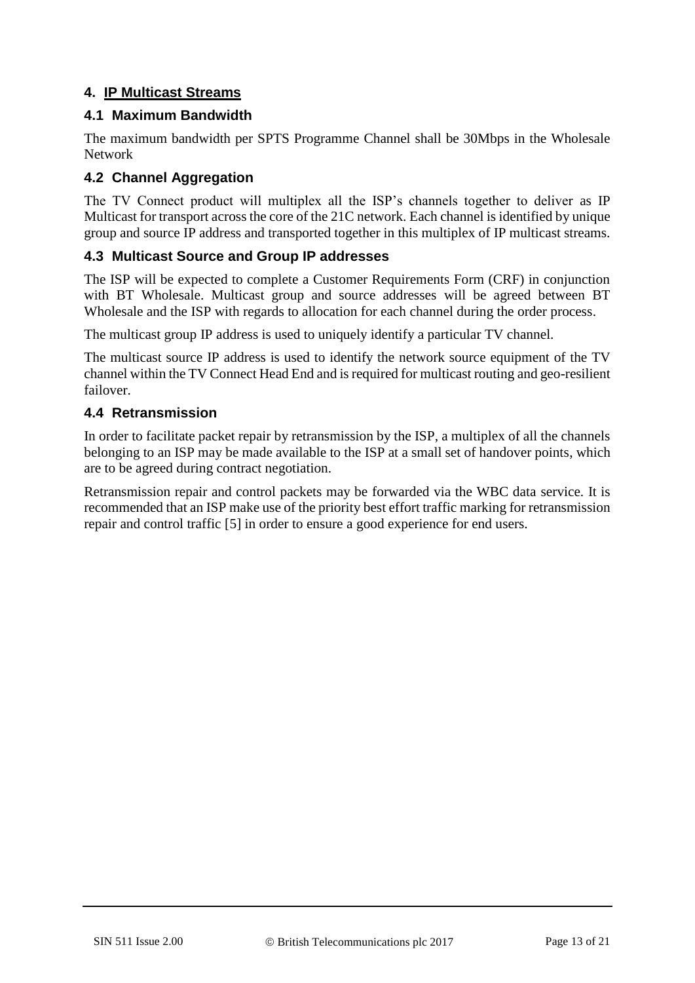### **4. IP Multicast Streams**

### **4.1 Maximum Bandwidth**

The maximum bandwidth per SPTS Programme Channel shall be 30Mbps in the Wholesale Network

# **4.2 Channel Aggregation**

The TV Connect product will multiplex all the ISP's channels together to deliver as IP Multicast for transport across the core of the 21C network. Each channel is identified by unique group and source IP address and transported together in this multiplex of IP multicast streams.

### **4.3 Multicast Source and Group IP addresses**

The ISP will be expected to complete a Customer Requirements Form (CRF) in conjunction with BT Wholesale. Multicast group and source addresses will be agreed between BT Wholesale and the ISP with regards to allocation for each channel during the order process.

The multicast group IP address is used to uniquely identify a particular TV channel.

The multicast source IP address is used to identify the network source equipment of the TV channel within the TV Connect Head End and is required for multicast routing and geo-resilient failover.

### **4.4 Retransmission**

In order to facilitate packet repair by retransmission by the ISP, a multiplex of all the channels belonging to an ISP may be made available to the ISP at a small set of handover points, which are to be agreed during contract negotiation.

Retransmission repair and control packets may be forwarded via the WBC data service. It is recommended that an ISP make use of the priority best effort traffic marking for retransmission repair and control traffic [5] in order to ensure a good experience for end users.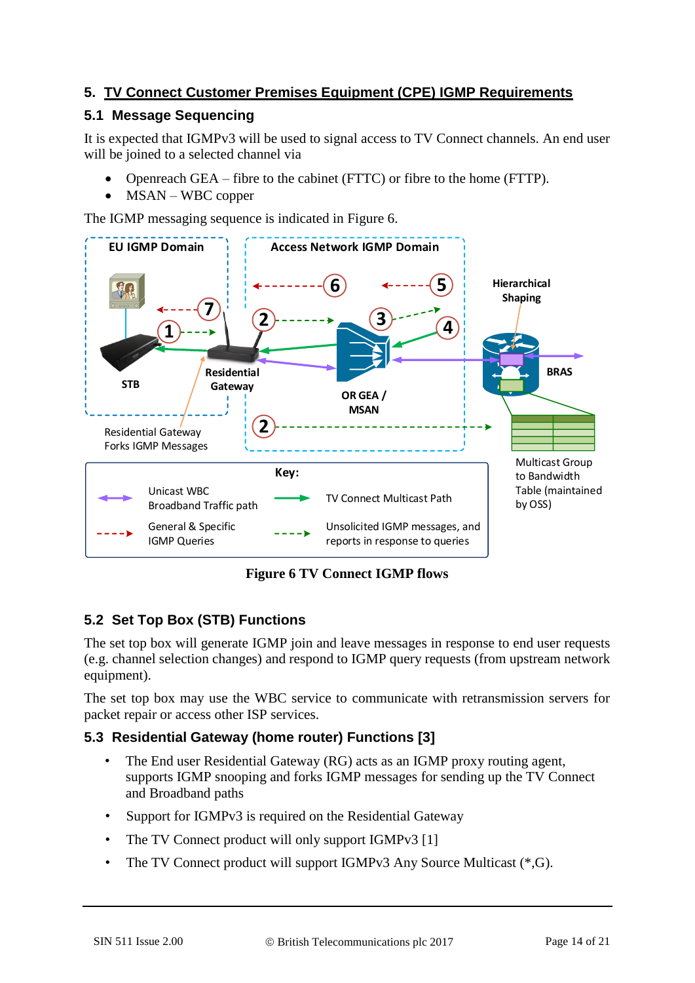# **5. TV Connect Customer Premises Equipment (CPE) IGMP Requirements**

# **5.1 Message Sequencing**

It is expected that IGMPv3 will be used to signal access to TV Connect channels. An end user will be joined to a selected channel via

- Openreach GEA fibre to the cabinet (FTTC) or fibre to the home (FTTP).
- MSAN WBC copper

The IGMP messaging sequence is indicated in [Figure 6.](#page-13-0)



**Figure 6 TV Connect IGMP flows**

# <span id="page-13-0"></span>**5.2 Set Top Box (STB) Functions**

The set top box will generate IGMP join and leave messages in response to end user requests (e.g. channel selection changes) and respond to IGMP query requests (from upstream network equipment).

The set top box may use the WBC service to communicate with retransmission servers for packet repair or access other ISP services.

# **5.3 Residential Gateway (home router) Functions [3]**

- The End user Residential Gateway (RG) acts as an IGMP proxy routing agent, supports IGMP snooping and forks IGMP messages for sending up the TV Connect and Broadband paths
- Support for IGMPv3 is required on the Residential Gateway
- The TV Connect product will only support IGMPv3 [1]
- The TV Connect product will support IGMPv3 Any Source Multicast (\*,G).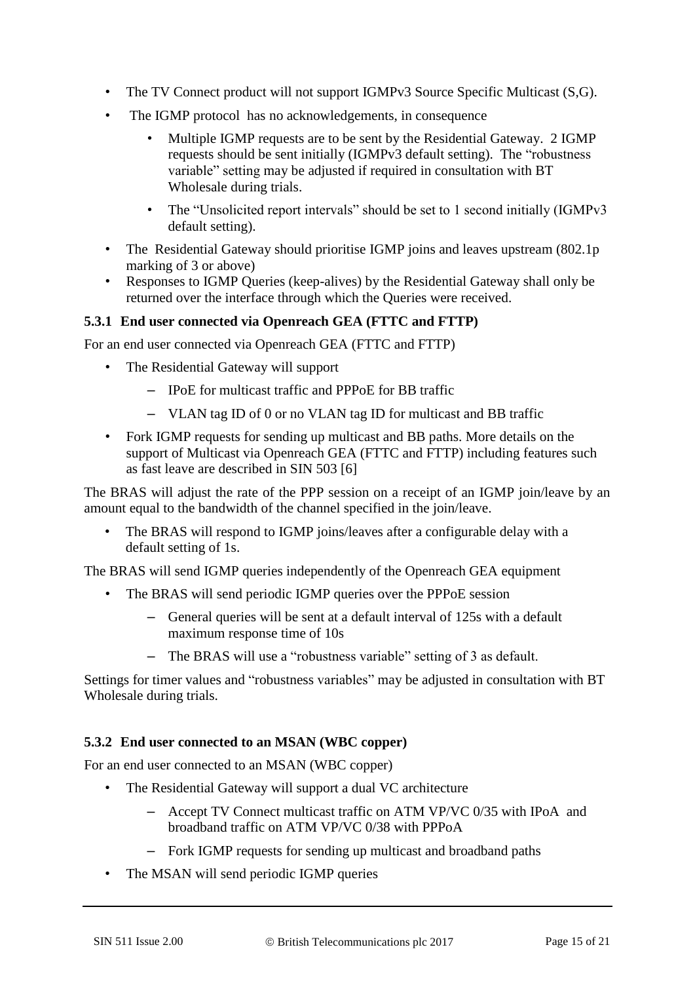- The TV Connect product will not support IGMPv3 Source Specific Multicast (S,G).
- The IGMP protocol has no acknowledgements, in consequence
	- Multiple IGMP requests are to be sent by the Residential Gateway. 2 IGMP requests should be sent initially (IGMPv3 default setting). The "robustness variable" setting may be adjusted if required in consultation with BT Wholesale during trials.
	- The "Unsolicited report intervals" should be set to 1 second initially (IGMPv3 default setting).
- The Residential Gateway should prioritise IGMP joins and leaves upstream (802.1p) marking of 3 or above)
- Responses to IGMP Queries (keep-alives) by the Residential Gateway shall only be returned over the interface through which the Queries were received.

#### **5.3.1 End user connected via Openreach GEA (FTTC and FTTP)**

For an end user connected via Openreach GEA (FTTC and FTTP)

- The Residential Gateway will support
	- IPoE for multicast traffic and PPPoE for BB traffic
	- VLAN tag ID of 0 or no VLAN tag ID for multicast and BB traffic
- Fork IGMP requests for sending up multicast and BB paths. More details on the support of Multicast via Openreach GEA (FTTC and FTTP) including features such as fast leave are described in SIN 503 [6]

The BRAS will adjust the rate of the PPP session on a receipt of an IGMP join/leave by an amount equal to the bandwidth of the channel specified in the join/leave.

• The BRAS will respond to IGMP joins/leaves after a configurable delay with a default setting of 1s.

The BRAS will send IGMP queries independently of the Openreach GEA equipment

- The BRAS will send periodic IGMP queries over the PPPoE session
	- General queries will be sent at a default interval of 125s with a default maximum response time of 10s
	- The BRAS will use a "robustness variable" setting of 3 as default.

Settings for timer values and "robustness variables" may be adjusted in consultation with BT Wholesale during trials.

#### **5.3.2 End user connected to an MSAN (WBC copper)**

For an end user connected to an MSAN (WBC copper)

- The Residential Gateway will support a dual VC architecture
	- Accept TV Connect multicast traffic on ATM VP/VC 0/35 with IPoA and broadband traffic on ATM VP/VC 0/38 with PPPoA
	- Fork IGMP requests for sending up multicast and broadband paths
- The MSAN will send periodic IGMP queries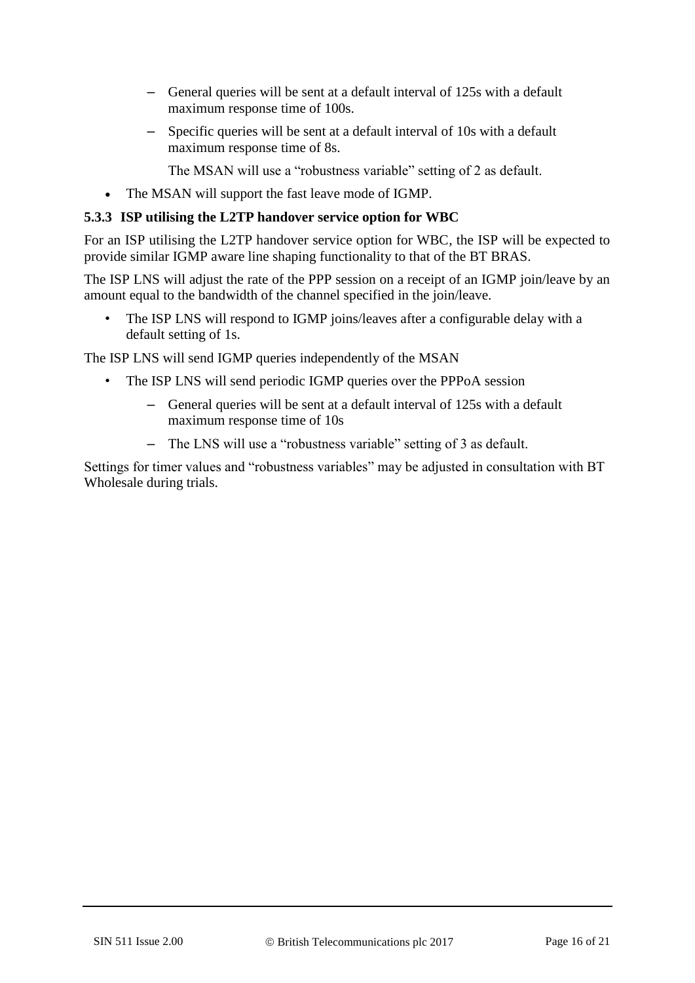- General queries will be sent at a default interval of 125s with a default maximum response time of 100s.
- Specific queries will be sent at a default interval of 10s with a default maximum response time of 8s.

The MSAN will use a "robustness variable" setting of 2 as default.

• The MSAN will support the fast leave mode of IGMP.

#### **5.3.3 ISP utilising the L2TP handover service option for WBC**

For an ISP utilising the L2TP handover service option for WBC, the ISP will be expected to provide similar IGMP aware line shaping functionality to that of the BT BRAS.

The ISP LNS will adjust the rate of the PPP session on a receipt of an IGMP join/leave by an amount equal to the bandwidth of the channel specified in the join/leave.

• The ISP LNS will respond to IGMP joins/leaves after a configurable delay with a default setting of 1s.

The ISP LNS will send IGMP queries independently of the MSAN

- The ISP LNS will send periodic IGMP queries over the PPPoA session
	- General queries will be sent at a default interval of 125s with a default maximum response time of 10s
	- The LNS will use a "robustness variable" setting of 3 as default.

Settings for timer values and "robustness variables" may be adjusted in consultation with BT Wholesale during trials.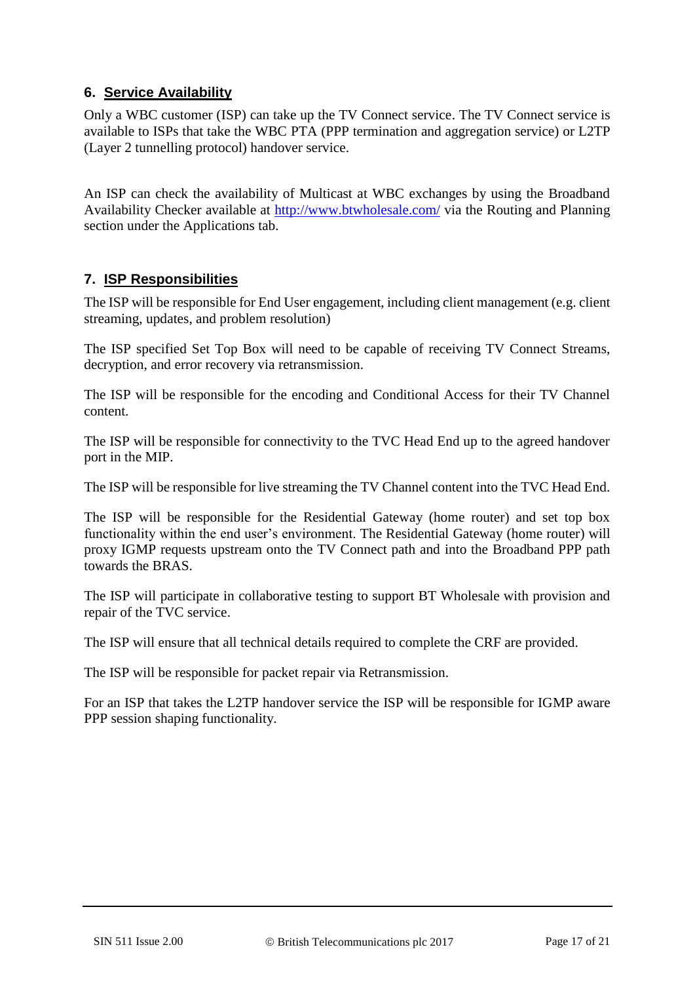### **6. Service Availability**

Only a WBC customer (ISP) can take up the TV Connect service. The TV Connect service is available to ISPs that take the WBC PTA (PPP termination and aggregation service) or L2TP (Layer 2 tunnelling protocol) handover service.

An ISP can check the availability of Multicast at WBC exchanges by using the Broadband Availability Checker available at<http://www.btwholesale.com/> via the Routing and Planning section under the Applications tab.

# **7. ISP Responsibilities**

The ISP will be responsible for End User engagement, including client management (e.g. client streaming, updates, and problem resolution)

The ISP specified Set Top Box will need to be capable of receiving TV Connect Streams, decryption, and error recovery via retransmission.

The ISP will be responsible for the encoding and Conditional Access for their TV Channel content.

The ISP will be responsible for connectivity to the TVC Head End up to the agreed handover port in the MIP.

The ISP will be responsible for live streaming the TV Channel content into the TVC Head End.

The ISP will be responsible for the Residential Gateway (home router) and set top box functionality within the end user's environment. The Residential Gateway (home router) will proxy IGMP requests upstream onto the TV Connect path and into the Broadband PPP path towards the BRAS.

The ISP will participate in collaborative testing to support BT Wholesale with provision and repair of the TVC service.

The ISP will ensure that all technical details required to complete the CRF are provided.

The ISP will be responsible for packet repair via Retransmission.

For an ISP that takes the L2TP handover service the ISP will be responsible for IGMP aware PPP session shaping functionality.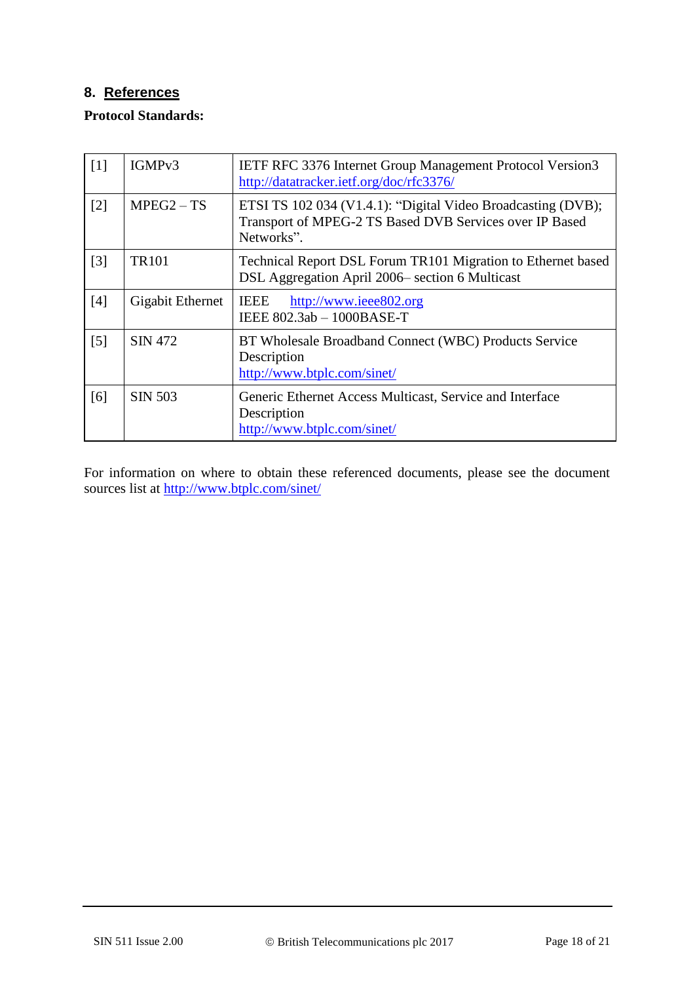# <span id="page-17-0"></span>**8. References**

#### **Protocol Standards:**

| [1]               | IGMP <sub>v3</sub> | <b>IETF RFC 3376 Internet Group Management Protocol Version3</b><br>http://datatracker.ietf.org/doc/rfc3376/                          |  |
|-------------------|--------------------|---------------------------------------------------------------------------------------------------------------------------------------|--|
| $[2]$             | $MPEG2 - TS$       | ETSI TS 102 034 (V1.4.1): "Digital Video Broadcasting (DVB);<br>Transport of MPEG-2 TS Based DVB Services over IP Based<br>Networks". |  |
| [3]               | <b>TR101</b>       | Technical Report DSL Forum TR101 Migration to Ethernet based<br>DSL Aggregation April 2006– section 6 Multicast                       |  |
| [4]               | Gigabit Ethernet   | <b>IEEE</b><br>http://www.ieee802.org<br>IEEE 802.3ab - 1000BASE-T                                                                    |  |
| $\lceil 5 \rceil$ | SIN 472            | BT Wholesale Broadband Connect (WBC) Products Service<br>Description<br>http://www.btplc.com/sinet/                                   |  |
| [6]               | <b>SIN 503</b>     | Generic Ethernet Access Multicast, Service and Interface<br>Description<br>http://www.btplc.com/sinet/                                |  |

For information on where to obtain these referenced documents, please see the document sources list at<http://www.btplc.com/sinet/>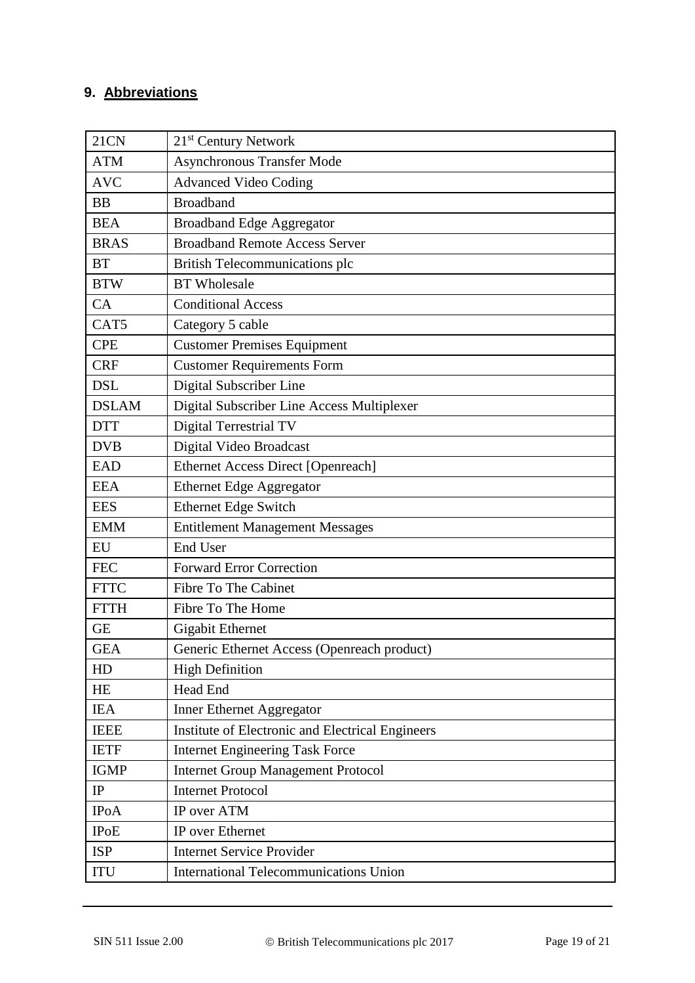# **9. Abbreviations**

| <b>21CN</b>  | 21 <sup>st</sup> Century Network                 |  |  |  |
|--------------|--------------------------------------------------|--|--|--|
| <b>ATM</b>   | <b>Asynchronous Transfer Mode</b>                |  |  |  |
| <b>AVC</b>   | <b>Advanced Video Coding</b>                     |  |  |  |
| <b>BB</b>    | <b>Broadband</b>                                 |  |  |  |
| <b>BEA</b>   | <b>Broadband Edge Aggregator</b>                 |  |  |  |
| <b>BRAS</b>  | <b>Broadband Remote Access Server</b>            |  |  |  |
| <b>BT</b>    | British Telecommunications plc                   |  |  |  |
| <b>BTW</b>   | <b>BT</b> Wholesale                              |  |  |  |
| CA           | <b>Conditional Access</b>                        |  |  |  |
| CAT5         | Category 5 cable                                 |  |  |  |
| <b>CPE</b>   | <b>Customer Premises Equipment</b>               |  |  |  |
| <b>CRF</b>   | <b>Customer Requirements Form</b>                |  |  |  |
| <b>DSL</b>   | Digital Subscriber Line                          |  |  |  |
| <b>DSLAM</b> | Digital Subscriber Line Access Multiplexer       |  |  |  |
| <b>DTT</b>   | Digital Terrestrial TV                           |  |  |  |
| <b>DVB</b>   | Digital Video Broadcast                          |  |  |  |
| <b>EAD</b>   | <b>Ethernet Access Direct [Openreach]</b>        |  |  |  |
| <b>EEA</b>   | <b>Ethernet Edge Aggregator</b>                  |  |  |  |
| <b>EES</b>   | <b>Ethernet Edge Switch</b>                      |  |  |  |
| <b>EMM</b>   | <b>Entitlement Management Messages</b>           |  |  |  |
| EU           | End User                                         |  |  |  |
| <b>FEC</b>   | <b>Forward Error Correction</b>                  |  |  |  |
| <b>FTTC</b>  | Fibre To The Cabinet                             |  |  |  |
| <b>FTTH</b>  | Fibre To The Home                                |  |  |  |
| <b>GE</b>    | <b>Gigabit Ethernet</b>                          |  |  |  |
| <b>GEA</b>   | Generic Ethernet Access (Openreach product)      |  |  |  |
| HD           | <b>High Definition</b>                           |  |  |  |
| HE           | Head End                                         |  |  |  |
| <b>IEA</b>   | Inner Ethernet Aggregator                        |  |  |  |
| <b>IEEE</b>  | Institute of Electronic and Electrical Engineers |  |  |  |
| <b>IETF</b>  | <b>Internet Engineering Task Force</b>           |  |  |  |
| <b>IGMP</b>  | <b>Internet Group Management Protocol</b>        |  |  |  |
| $\rm IP$     | <b>Internet Protocol</b>                         |  |  |  |
| <b>IPoA</b>  | IP over ATM                                      |  |  |  |
| <b>IPoE</b>  | IP over Ethernet                                 |  |  |  |
| <b>ISP</b>   | <b>Internet Service Provider</b>                 |  |  |  |
| ITU          | <b>International Telecommunications Union</b>    |  |  |  |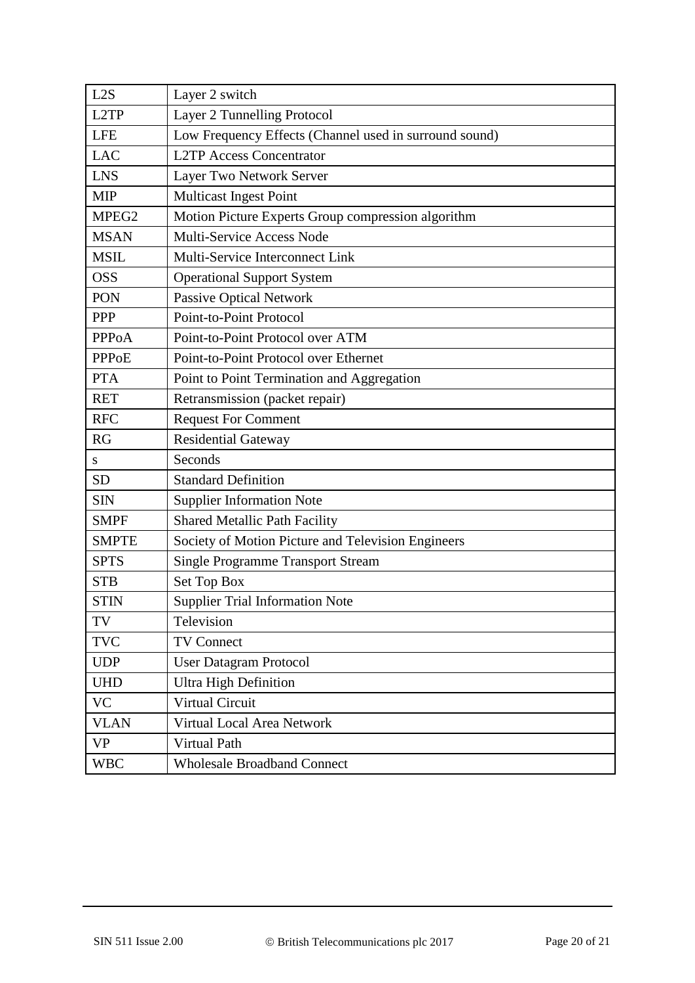| L2S               | Layer 2 switch                                         |  |  |
|-------------------|--------------------------------------------------------|--|--|
| L2TP              | Layer 2 Tunnelling Protocol                            |  |  |
| <b>LFE</b>        | Low Frequency Effects (Channel used in surround sound) |  |  |
| <b>LAC</b>        | <b>L2TP Access Concentrator</b>                        |  |  |
| <b>LNS</b>        | Layer Two Network Server                               |  |  |
| <b>MIP</b>        | <b>Multicast Ingest Point</b>                          |  |  |
| MPEG <sub>2</sub> | Motion Picture Experts Group compression algorithm     |  |  |
| <b>MSAN</b>       | Multi-Service Access Node                              |  |  |
| <b>MSIL</b>       | Multi-Service Interconnect Link                        |  |  |
| <b>OSS</b>        | <b>Operational Support System</b>                      |  |  |
| PON               | Passive Optical Network                                |  |  |
| <b>PPP</b>        | Point-to-Point Protocol                                |  |  |
| <b>PPPOA</b>      | Point-to-Point Protocol over ATM                       |  |  |
| <b>PPPoE</b>      | Point-to-Point Protocol over Ethernet                  |  |  |
| <b>PTA</b>        | Point to Point Termination and Aggregation             |  |  |
| <b>RET</b>        | Retransmission (packet repair)                         |  |  |
| <b>RFC</b>        | <b>Request For Comment</b>                             |  |  |
| <b>RG</b>         | <b>Residential Gateway</b>                             |  |  |
| ${\bf S}$         | Seconds                                                |  |  |
| <b>SD</b>         | <b>Standard Definition</b>                             |  |  |
| <b>SIN</b>        | <b>Supplier Information Note</b>                       |  |  |
| <b>SMPF</b>       | <b>Shared Metallic Path Facility</b>                   |  |  |
| <b>SMPTE</b>      | Society of Motion Picture and Television Engineers     |  |  |
| <b>SPTS</b>       | <b>Single Programme Transport Stream</b>               |  |  |
| <b>STB</b>        | Set Top Box                                            |  |  |
| <b>STIN</b>       | <b>Supplier Trial Information Note</b>                 |  |  |
| TV                | Television                                             |  |  |
| <b>TVC</b>        | <b>TV Connect</b>                                      |  |  |
| <b>UDP</b>        | <b>User Datagram Protocol</b>                          |  |  |
| <b>UHD</b>        | <b>Ultra High Definition</b>                           |  |  |
| <b>VC</b>         | Virtual Circuit                                        |  |  |
| <b>VLAN</b>       | Virtual Local Area Network                             |  |  |
| <b>VP</b>         | Virtual Path                                           |  |  |
| <b>WBC</b>        | <b>Wholesale Broadband Connect</b>                     |  |  |